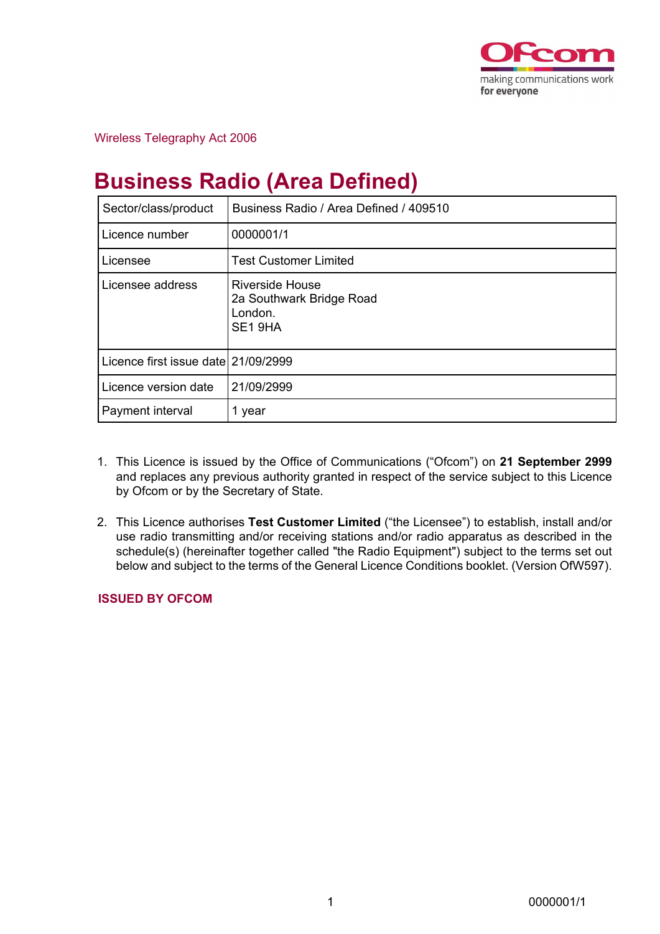

Wireless Telegraphy Act 2006

# **Business Radio (Area Defined)**

| Sector/class/product                | Business Radio / Area Defined / 409510                                   |
|-------------------------------------|--------------------------------------------------------------------------|
| Licence number                      | 0000001/1                                                                |
| Licensee                            | <b>Test Customer Limited</b>                                             |
| Licensee address                    | <b>Riverside House</b><br>2a Southwark Bridge Road<br>London.<br>SE1 9HA |
| Licence first issue date 21/09/2999 |                                                                          |
| Licence version date                | 21/09/2999                                                               |
| Payment interval                    | 1 year                                                                   |

- 1. This Licence is issued by the Office of Communications ("Ofcom") on **21 September 2999** and replaces any previous authority granted in respect of the service subject to this Licence by Ofcom or by the Secretary of State.
- 2. This Licence authorises **Test Customer Limited** ("the Licensee") to establish, install and/or use radio transmitting and/or receiving stations and/or radio apparatus as described in the schedule(s) (hereinafter together called "the Radio Equipment") subject to the terms set out below and subject to the terms of the General Licence Conditions booklet. (Version OfW597).

# **ISSUED BY OFCOM**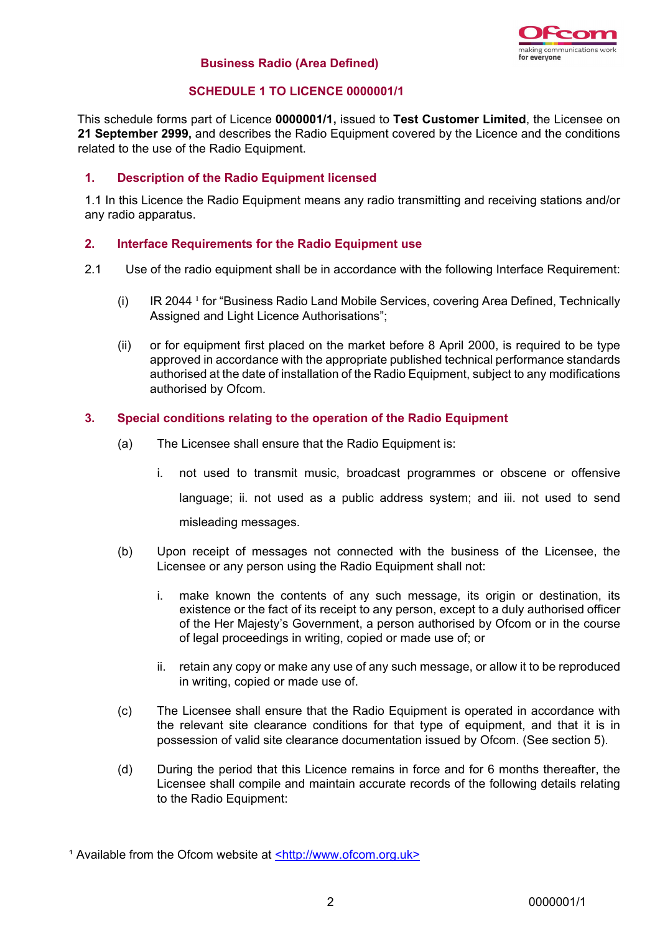

## **Business Radio (Area Defined)**

# **SCHEDULE 1 TO LICENCE 0000001/1**

This schedule forms part of Licence **0000001/1,** issued to **Test Customer Limited**, the Licensee on **21 September 2999,** and describes the Radio Equipment covered by the Licence and the conditions related to the use of the Radio Equipment.

# **1. Description of the Radio Equipment licensed**

1.1 In this Licence the Radio Equipment means any radio transmitting and receiving stations and/or any radio apparatus.

## **2. Interface Requirements for the Radio Equipment use**

- 2.1 Use of the radio equipment shall be in accordance with the following Interface Requirement:
	- (i) IR 2044  $\,$  for "Business Radio Land Mobile Services, covering Area Defined, Technically Assigned and Light Licence Authorisations";
	- (ii) or for equipment first placed on the market before 8 April 2000, is required to be type approved in accordance with the appropriate published technical performance standards authorised at the date of installation of the Radio Equipment, subject to any modifications authorised by Ofcom.

## **3. Special conditions relating to the operation of the Radio Equipment**

- (a) The Licensee shall ensure that the Radio Equipment is:
	- i. not used to transmit music, broadcast programmes or obscene or offensive language; ii. not used as a public address system; and iii. not used to send misleading messages.
- (b) Upon receipt of messages not connected with the business of the Licensee, the Licensee or any person using the Radio Equipment shall not:
	- i. make known the contents of any such message, its origin or destination, its existence or the fact of its receipt to any person, except to a duly authorised officer of the Her Majesty's Government, a person authorised by Ofcom or in the course of legal proceedings in writing, copied or made use of; or
	- ii. retain any copy or make any use of any such message, or allow it to be reproduced in writing, copied or made use of.
- (c) The Licensee shall ensure that the Radio Equipment is operated in accordance with the relevant site clearance conditions for that type of equipment, and that it is in possession of valid site clearance documentation issued by Ofcom. (See section 5).
- (d) During the period that this Licence remains in force and for 6 months thereafter, the Licensee shall compile and maintain accurate records of the following details relating to the Radio Equipment:

<sup>&</sup>lt;sup>1</sup> Available from the Ofcom website at **<http://www.ofcom.org.uk>**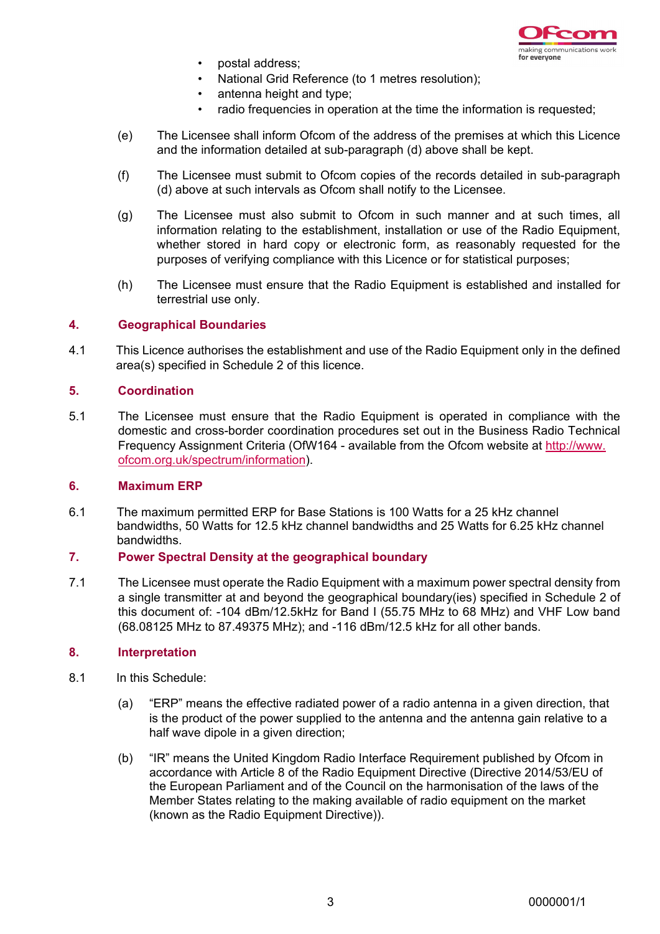

- postal address;
- National Grid Reference (to 1 metres resolution);
- antenna height and type:
- radio frequencies in operation at the time the information is requested;
- (e) The Licensee shall inform Ofcom of the address of the premises at which this Licence and the information detailed at sub-paragraph (d) above shall be kept.
- (f) The Licensee must submit to Ofcom copies of the records detailed in sub-paragraph (d) above at such intervals as Ofcom shall notify to the Licensee.
- (g) The Licensee must also submit to Ofcom in such manner and at such times, all information relating to the establishment, installation or use of the Radio Equipment, whether stored in hard copy or electronic form, as reasonably requested for the purposes of verifying compliance with this Licence or for statistical purposes;
- (h) The Licensee must ensure that the Radio Equipment is established and installed for terrestrial use only.

## **4. Geographical Boundaries**

4.1 This Licence authorises the establishment and use of the Radio Equipment only in the defined area(s) specified in Schedule 2 of this licence.

#### **5. Coordination**

5.1 The Licensee must ensure that the Radio Equipment is operated in compliance with the domestic and cross-border coordination procedures set out in the Business Radio Technical Frequency Assignment Criteria (OfW164 - available from the Ofcom website at http://www. ofcom.org.uk/spectrum/information).

#### **6. Maximum ERP**

6.1 The maximum permitted ERP for Base Stations is 100 Watts for a 25 kHz channel bandwidths, 50 Watts for 12.5 kHz channel bandwidths and 25 Watts for 6.25 kHz channel bandwidths.

#### **7. Power Spectral Density at the geographical boundary**

7.1 The Licensee must operate the Radio Equipment with a maximum power spectral density from a single transmitter at and beyond the geographical boundary(ies) specified in Schedule 2 of this document of: -104 dBm/12.5kHz for Band I (55.75 MHz to 68 MHz) and VHF Low band (68.08125 MHz to 87.49375 MHz); and -116 dBm/12.5 kHz for all other bands.

#### **8. Interpretation**

- 8.1 In this Schedule:
	- (a) "ERP" means the effective radiated power of a radio antenna in a given direction, that is the product of the power supplied to the antenna and the antenna gain relative to a half wave dipole in a given direction;
	- (b) "IR" means the United Kingdom Radio Interface Requirement published by Ofcom in accordance with Article 8 of the Radio Equipment Directive (Directive 2014/53/EU of the European Parliament and of the Council on the harmonisation of the laws of the Member States relating to the making available of radio equipment on the market (known as the Radio Equipment Directive)).